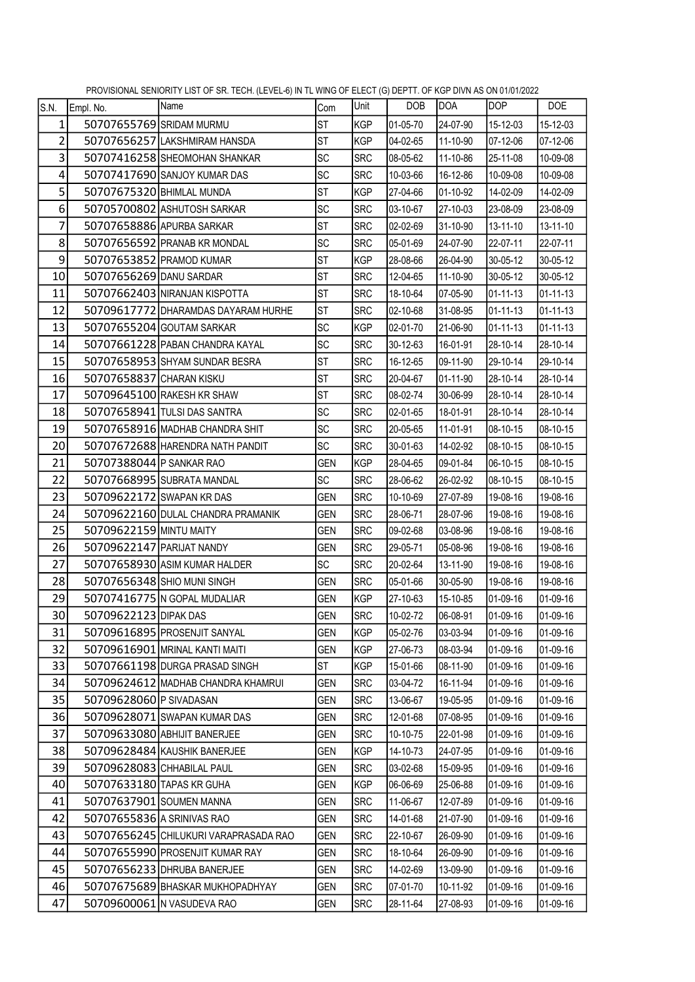| S.N.           | Empl. No.                  | $\frac{1}{2}$ . The matrix of the state of the state $\frac{1}{2}$ is the matrix of the state of $\frac{1}{2}$ is the state of the state of $\frac{1}{2}$<br> Name | Com        | Unit       | DOB      | DOA      | <b>DOP</b>     | DOE            |
|----------------|----------------------------|--------------------------------------------------------------------------------------------------------------------------------------------------------------------|------------|------------|----------|----------|----------------|----------------|
| $\mathbf{1}$   | 50707655769 SRIDAM MURMU   |                                                                                                                                                                    | <b>ST</b>  | KGP        | 01-05-70 | 24-07-90 | 15-12-03       | 15-12-03       |
| $\overline{2}$ |                            | 50707656257 LAKSHMIRAM HANSDA                                                                                                                                      | <b>ST</b>  | KGP        | 04-02-65 | 11-10-90 | 07-12-06       | 07-12-06       |
| 3              |                            | 50707416258 SHEOMOHAN SHANKAR                                                                                                                                      | <b>SC</b>  | <b>SRC</b> | 08-05-62 | 11-10-86 | 25-11-08       | 10-09-08       |
| 4              |                            | 50707417690 SANJOY KUMAR DAS                                                                                                                                       | <b>SC</b>  | <b>SRC</b> | 10-03-66 | 16-12-86 | 10-09-08       | 10-09-08       |
| 5              | 50707675320 BHIMLAL MUNDA  |                                                                                                                                                                    | <b>ST</b>  | <b>KGP</b> | 27-04-66 | 01-10-92 | 14-02-09       | 14-02-09       |
| 6              |                            | 50705700802 ASHUTOSH SARKAR                                                                                                                                        | SC         | <b>SRC</b> | 03-10-67 | 27-10-03 | 23-08-09       | 23-08-09       |
| $\overline{7}$ |                            | 50707658886 APURBA SARKAR                                                                                                                                          | <b>ST</b>  | <b>SRC</b> | 02-02-69 | 31-10-90 | 13-11-10       | 13-11-10       |
| 8              |                            | 50707656592 PRANAB KR MONDAL                                                                                                                                       | <b>SC</b>  | <b>SRC</b> | 05-01-69 | 24-07-90 | 22-07-11       | 22-07-11       |
| 9              |                            | 50707653852 PRAMOD KUMAR                                                                                                                                           | <b>ST</b>  | KGP        | 28-08-66 | 26-04-90 | 30-05-12       | 30-05-12       |
| 10             | 50707656269 DANU SARDAR    |                                                                                                                                                                    | <b>ST</b>  | <b>SRC</b> | 12-04-65 | 11-10-90 | 30-05-12       | 30-05-12       |
| 11             |                            | 50707662403 NIRANJAN KISPOTTA                                                                                                                                      | <b>ST</b>  | <b>SRC</b> | 18-10-64 | 07-05-90 | $01 - 11 - 13$ | $01 - 11 - 13$ |
| 12             |                            | 50709617772 DHARAMDAS DAYARAM HURHE                                                                                                                                | <b>ST</b>  | <b>SRC</b> | 02-10-68 | 31-08-95 | $01 - 11 - 13$ | $01 - 11 - 13$ |
| 13             |                            | 50707655204 GOUTAM SARKAR                                                                                                                                          | <b>SC</b>  | <b>KGP</b> | 02-01-70 | 21-06-90 | $01 - 11 - 13$ | $01 - 11 - 13$ |
| 14             |                            | 50707661228 PABAN CHANDRA KAYAL                                                                                                                                    | <b>SC</b>  | <b>SRC</b> | 30-12-63 | 16-01-91 | 28-10-14       | 28-10-14       |
| 15             |                            | 50707658953 SHYAM SUNDAR BESRA                                                                                                                                     | <b>ST</b>  | <b>SRC</b> | 16-12-65 | 09-11-90 | 29-10-14       | 29-10-14       |
| 16             | 50707658837 CHARAN KISKU   |                                                                                                                                                                    | <b>ST</b>  | <b>SRC</b> | 20-04-67 | 01-11-90 | 28-10-14       | 28-10-14       |
| 17             |                            | 50709645100 RAKESH KR SHAW                                                                                                                                         | <b>ST</b>  | <b>SRC</b> | 08-02-74 | 30-06-99 | 28-10-14       | 28-10-14       |
| 18             |                            | 50707658941 TULSI DAS SANTRA                                                                                                                                       | SC         | <b>SRC</b> | 02-01-65 | 18-01-91 | 28-10-14       | 28-10-14       |
| 19             |                            | 50707658916 MADHAB CHANDRA SHIT                                                                                                                                    | <b>SC</b>  | <b>SRC</b> | 20-05-65 | 11-01-91 | 08-10-15       | 08-10-15       |
| 20             |                            | 50707672688 HARENDRA NATH PANDIT                                                                                                                                   | SC         | <b>SRC</b> | 30-01-63 | 14-02-92 | 08-10-15       | 08-10-15       |
| 21             | 50707388044 P SANKAR RAO   |                                                                                                                                                                    | <b>GEN</b> | KGP        | 28-04-65 | 09-01-84 | 06-10-15       | 08-10-15       |
| 22             |                            | 50707668995 SUBRATA MANDAL                                                                                                                                         | SC         | <b>SRC</b> | 28-06-62 | 26-02-92 | 08-10-15       | 08-10-15       |
| 23             |                            | 50709622172 SWAPAN KR DAS                                                                                                                                          | <b>GEN</b> | <b>SRC</b> | 10-10-69 | 27-07-89 | 19-08-16       | 19-08-16       |
| 24             |                            | 50709622160 DULAL CHANDRA PRAMANIK                                                                                                                                 | <b>GEN</b> | <b>SRC</b> | 28-06-71 | 28-07-96 | 19-08-16       | 19-08-16       |
| 25             | 50709622159 MINTU MAITY    |                                                                                                                                                                    | <b>GEN</b> | <b>SRC</b> | 09-02-68 | 03-08-96 | 19-08-16       | 19-08-16       |
| 26             | 50709622147 PARIJAT NANDY  |                                                                                                                                                                    | <b>GEN</b> | <b>SRC</b> | 29-05-71 | 05-08-96 | 19-08-16       | 19-08-16       |
| 27             |                            | 50707658930 ASIM KUMAR HALDER                                                                                                                                      | SC         | <b>SRC</b> | 20-02-64 | 13-11-90 | 19-08-16       | 19-08-16       |
| 28             |                            | 50707656348 SHIO MUNI SINGH                                                                                                                                        | <b>GEN</b> | <b>SRC</b> | 05-01-66 | 30-05-90 | 19-08-16       | 19-08-16       |
| 29             |                            | 50707416775 N GOPAL MUDALIAR                                                                                                                                       | <b>GEN</b> | KGP        | 27-10-63 | 15-10-85 | 01-09-16       | 01-09-16       |
| 30             | 50709622123 DIPAK DAS      |                                                                                                                                                                    | GEN        | SRC        | 10-02-72 | 06-08-91 | 01-09-16       | 01-09-16       |
| 31             |                            | 50709616895 PROSENJIT SANYAL                                                                                                                                       | <b>GEN</b> | KGP        | 05-02-76 | 03-03-94 | 01-09-16       | 01-09-16       |
| 32             |                            | 50709616901 MRINAL KANTI MAITI                                                                                                                                     | <b>GEN</b> | KGP        | 27-06-73 | 08-03-94 | 01-09-16       | 01-09-16       |
| 33             |                            | 50707661198 DURGA PRASAD SINGH                                                                                                                                     | <b>ST</b>  | KGP        | 15-01-66 | 08-11-90 | 01-09-16       | 01-09-16       |
| 34             |                            | 50709624612 MADHAB CHANDRA KHAMRUI                                                                                                                                 | GEN        | SRC        | 03-04-72 | 16-11-94 | 01-09-16       | 01-09-16       |
| 35             | 50709628060 P SIVADASAN    |                                                                                                                                                                    | <b>GEN</b> | <b>SRC</b> | 13-06-67 | 19-05-95 | 01-09-16       | 01-09-16       |
| 36             |                            | 50709628071 SWAPAN KUMAR DAS                                                                                                                                       | <b>GEN</b> | <b>SRC</b> | 12-01-68 | 07-08-95 | 01-09-16       | 01-09-16       |
| 37             |                            | 50709633080 ABHIJIT BANERJEE                                                                                                                                       | <b>GEN</b> | <b>SRC</b> | 10-10-75 | 22-01-98 | 01-09-16       | 01-09-16       |
| 38             |                            | 50709628484 KAUSHIK BANERJEE                                                                                                                                       | <b>GEN</b> | KGP        | 14-10-73 | 24-07-95 | 01-09-16       | 01-09-16       |
| 39             |                            | 50709628083 CHHABILAL PAUL                                                                                                                                         | <b>GEN</b> | <b>SRC</b> | 03-02-68 | 15-09-95 | 01-09-16       | 01-09-16       |
| 40             | 50707633180 TAPAS KR GUHA  |                                                                                                                                                                    | <b>GEN</b> | KGP        | 06-06-69 | 25-06-88 | 01-09-16       | 01-09-16       |
| 41             |                            | 50707637901 SOUMEN MANNA                                                                                                                                           | <b>GEN</b> | <b>SRC</b> | 11-06-67 | 12-07-89 | 01-09-16       | 01-09-16       |
| 42             | 50707655836 A SRINIVAS RAO |                                                                                                                                                                    | <b>GEN</b> | <b>SRC</b> | 14-01-68 | 21-07-90 | 01-09-16       | 01-09-16       |
| 43             |                            | 50707656245 CHILUKURI VARAPRASADA RAO                                                                                                                              | <b>GEN</b> | <b>SRC</b> | 22-10-67 | 26-09-90 | 01-09-16       | 01-09-16       |
| 44             |                            | 50707655990 PROSENJIT KUMAR RAY                                                                                                                                    | <b>GEN</b> | <b>SRC</b> | 18-10-64 | 26-09-90 | 01-09-16       | 01-09-16       |
| 45             |                            | 50707656233 DHRUBA BANERJEE                                                                                                                                        | <b>GEN</b> | <b>SRC</b> | 14-02-69 | 13-09-90 | 01-09-16       | 01-09-16       |
| 46             |                            | 50707675689 BHASKAR MUKHOPADHYAY                                                                                                                                   | <b>GEN</b> | <b>SRC</b> | 07-01-70 | 10-11-92 | 01-09-16       | 01-09-16       |
| 47             |                            | 50709600061 N VASUDEVA RAO                                                                                                                                         | <b>GEN</b> | <b>SRC</b> | 28-11-64 | 27-08-93 | 01-09-16       | 01-09-16       |

PROVISIONAL SENIORITY LIST OF SR. TECH. (LEVEL-6) IN TL WING OF ELECT (G) DEPTT. OF KGP DIVN AS ON 01/01/2022